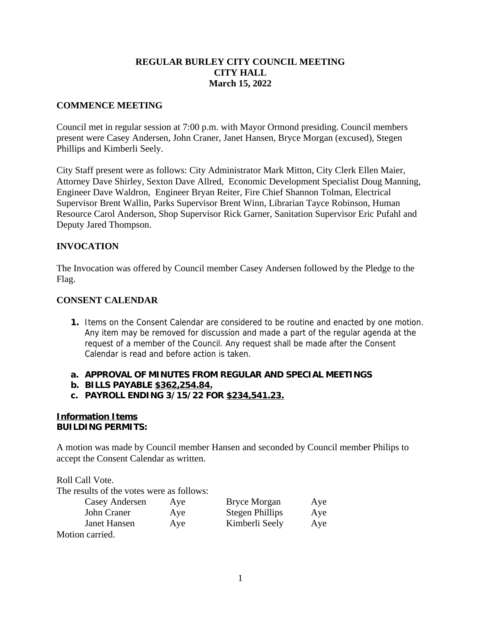# **REGULAR BURLEY CITY COUNCIL MEETING CITY HALL March 15, 2022**

### **COMMENCE MEETING**

Council met in regular session at 7:00 p.m. with Mayor Ormond presiding. Council members present were Casey Andersen, John Craner, Janet Hansen, Bryce Morgan (excused), Stegen Phillips and Kimberli Seely.

City Staff present were as follows: City Administrator Mark Mitton, City Clerk Ellen Maier, Attorney Dave Shirley, Sexton Dave Allred, Economic Development Specialist Doug Manning, Engineer Dave Waldron, Engineer Bryan Reiter, Fire Chief Shannon Tolman, Electrical Supervisor Brent Wallin, Parks Supervisor Brent Winn, Librarian Tayce Robinson, Human Resource Carol Anderson, Shop Supervisor Rick Garner, Sanitation Supervisor Eric Pufahl and Deputy Jared Thompson.

# **INVOCATION**

The Invocation was offered by Council member Casey Andersen followed by the Pledge to the Flag.

# **CONSENT CALENDAR**

- **1.** Items on the Consent Calendar are considered to be routine and enacted by one motion. Any item may be removed for discussion and made a part of the regular agenda at the request of a member of the Council. Any request shall be made after the Consent Calendar is read and before action is taken.
- **a. APPROVAL OF MINUTES FROM REGULAR AND SPECIAL MEETINGS**
- **b. BILLS PAYABLE \$362,254.84.**
- **c. PAYROLL ENDING 3/15/22 FOR \$234,541.23.**

#### **Information Items BUILDING PERMITS:**

A motion was made by Council member Hansen and seconded by Council member Philips to accept the Consent Calendar as written.

Roll Call Vote. The results of the votes were as follows:

| Aye | <b>Bryce Morgan</b>    | Aye |
|-----|------------------------|-----|
| Aye | <b>Stegen Phillips</b> | Aye |
| Aye | Kimberli Seely         | Aye |
|     |                        |     |
|     |                        |     |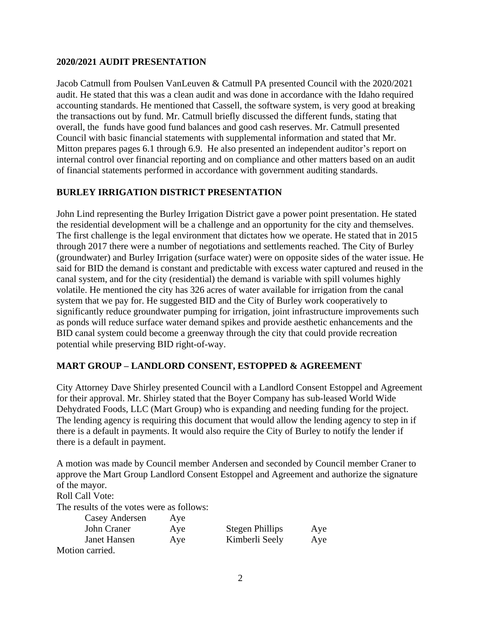### **2020/2021 AUDIT PRESENTATION**

Jacob Catmull from Poulsen VanLeuven & Catmull PA presented Council with the 2020/2021 audit. He stated that this was a clean audit and was done in accordance with the Idaho required accounting standards. He mentioned that Cassell, the software system, is very good at breaking the transactions out by fund. Mr. Catmull briefly discussed the different funds, stating that overall, the funds have good fund balances and good cash reserves. Mr. Catmull presented Council with basic financial statements with supplemental information and stated that Mr. Mitton prepares pages 6.1 through 6.9. He also presented an independent auditor's report on internal control over financial reporting and on compliance and other matters based on an audit of financial statements performed in accordance with government auditing standards.

## **BURLEY IRRIGATION DISTRICT PRESENTATION**

John Lind representing the Burley Irrigation District gave a power point presentation. He stated the residential development will be a challenge and an opportunity for the city and themselves. The first challenge is the legal environment that dictates how we operate. He stated that in 2015 through 2017 there were a number of negotiations and settlements reached. The City of Burley (groundwater) and Burley Irrigation (surface water) were on opposite sides of the water issue. He said for BID the demand is constant and predictable with excess water captured and reused in the canal system, and for the city (residential) the demand is variable with spill volumes highly volatile. He mentioned the city has 326 acres of water available for irrigation from the canal system that we pay for. He suggested BID and the City of Burley work cooperatively to significantly reduce groundwater pumping for irrigation, joint infrastructure improvements such as ponds will reduce surface water demand spikes and provide aesthetic enhancements and the BID canal system could become a greenway through the city that could provide recreation potential while preserving BID right-of-way.

### **MART GROUP – LANDLORD CONSENT, ESTOPPED & AGREEMENT**

City Attorney Dave Shirley presented Council with a Landlord Consent Estoppel and Agreement for their approval. Mr. Shirley stated that the Boyer Company has sub-leased World Wide Dehydrated Foods, LLC (Mart Group) who is expanding and needing funding for the project. The lending agency is requiring this document that would allow the lending agency to step in if there is a default in payments. It would also require the City of Burley to notify the lender if there is a default in payment.

A motion was made by Council member Andersen and seconded by Council member Craner to approve the Mart Group Landlord Consent Estoppel and Agreement and authorize the signature of the mayor.

Roll Call Vote:

The results of the votes were as follows:

| Casey Andersen  | Aye |                 |     |
|-----------------|-----|-----------------|-----|
| John Craner     | Aye | Stegen Phillips | Aye |
| Janet Hansen    | Aye | Kimberli Seely  | Aye |
| Motion carried. |     |                 |     |